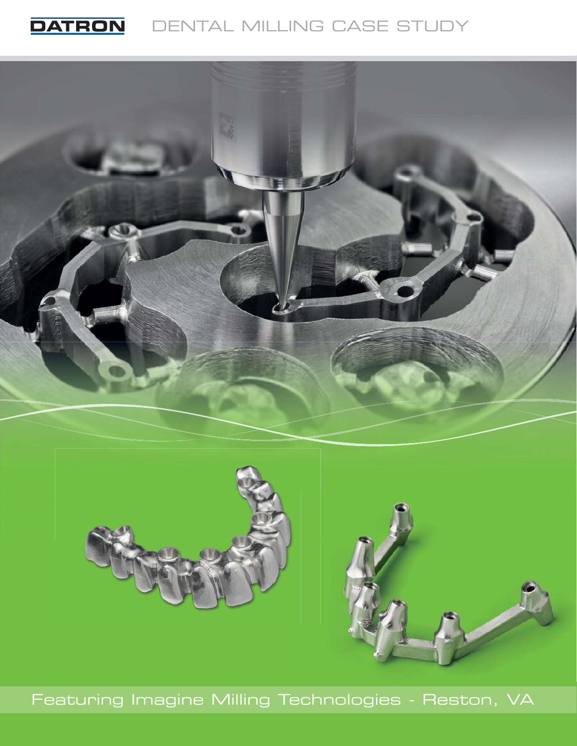



Featuring Imagine Milling Technologies - Reston, VA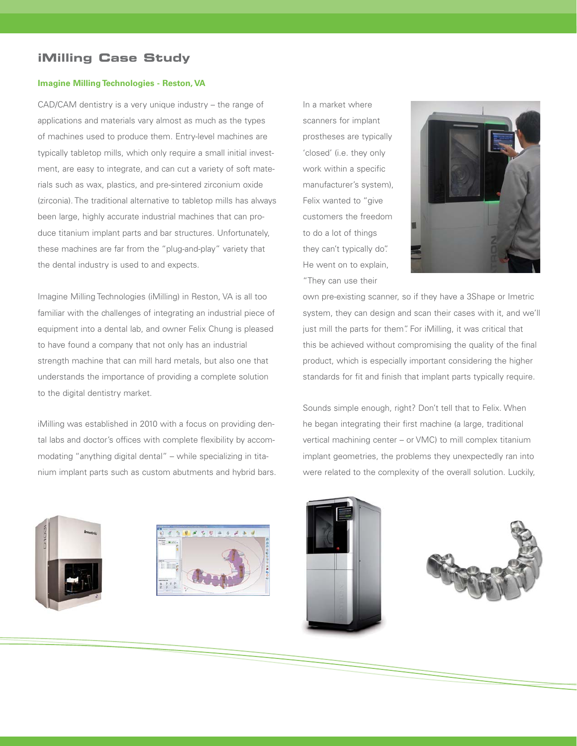## **iMilling Case Study**

### **Imagine Milling Technologies - Reston, VA**

CAD/CAM dentistry is a very unique industry – the range of applications and materials vary almost as much as the types of machines used to produce them. Entry-level machines are typically tabletop mills, which only require a small initial investment, are easy to integrate, and can cut a variety of soft materials such as wax, plastics, and pre-sintered zirconium oxide (zirconia). The traditional alternative to tabletop mills has always been large, highly accurate industrial machines that can produce titanium implant parts and bar structures. Unfortunately, these machines are far from the "plug-and-play" variety that the dental industry is used to and expects.

Imagine Milling Technologies (iMilling) in Reston, VA is all too familiar with the challenges of integrating an industrial piece of equipment into a dental lab, and owner Felix Chung is pleased to have found a company that not only has an industrial strength machine that can mill hard metals, but also one that understands the importance of providing a complete solution to the digital dentistry market.

iMilling was established in 2010 with a focus on providing dental labs and doctor's offices with complete flexibility by accommodating "anything digital dental" – while specializing in titanium implant parts such as custom abutments and hybrid bars. In a market where scanners for implant prostheses are typically 'closed' (i.e. they only work within a specific manufacturer's system), Felix wanted to "give customers the freedom to do a lot of things they can't typically do". He went on to explain, "They can use their



own pre-existing scanner, so if they have a 3Shape or Imetric system, they can design and scan their cases with it, and we'll just mill the parts for them". For iMilling, it was critical that this be achieved without compromising the quality of the final product, which is especially important considering the higher standards for fit and finish that implant parts typically require.

Sounds simple enough, right? Don't tell that to Felix. When he began integrating their first machine (a large, traditional vertical machining center – or VMC) to mill complex titanium implant geometries, the problems they unexpectedly ran into were related to the complexity of the overall solution. Luckily,







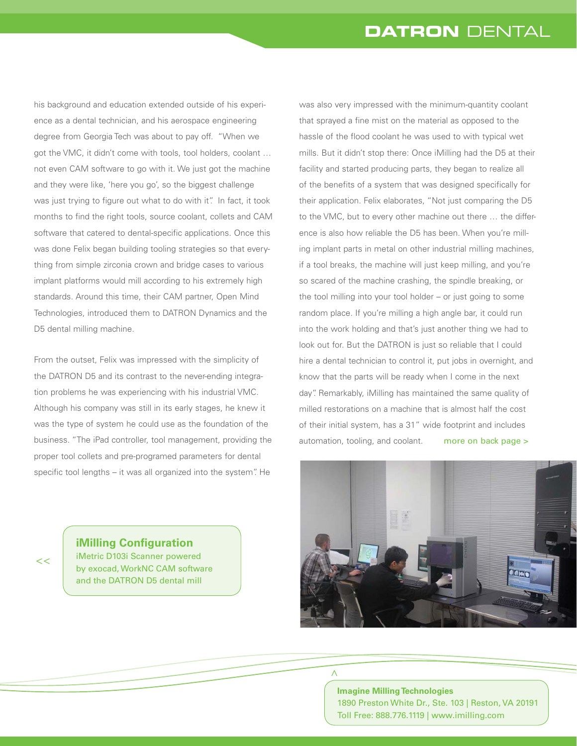his background and education extended outside of his experience as a dental technician, and his aerospace engineering degree from Georgia Tech was about to pay off. "When we got the VMC, it didn't come with tools, tool holders, coolant … not even CAM software to go with it. We just got the machine and they were like, 'here you go', so the biggest challenge was just trying to figure out what to do with it". In fact, it took months to find the right tools, source coolant, collets and CAM software that catered to dental-specific applications. Once this was done Felix began building tooling strategies so that everything from simple zirconia crown and bridge cases to various implant platforms would mill according to his extremely high standards. Around this time, their CAM partner, Open Mind Technologies, introduced them to DATRON Dynamics and the D5 dental milling machine.

From the outset, Felix was impressed with the simplicity of the DATRON D5 and its contrast to the never-ending integration problems he was experiencing with his industrial VMC. Although his company was still in its early stages, he knew it was the type of system he could use as the foundation of the business. "The iPad controller, tool management, providing the proper tool collets and pre-programed parameters for dental specific tool lengths – it was all organized into the system". He



**iMilling Configuration** iMetric D103i Scanner powered by exocad, WorkNC CAM software and the DATRON D5 dental mill

was also very impressed with the minimum-quantity coolant that sprayed a fine mist on the material as opposed to the hassle of the flood coolant he was used to with typical wet mills. But it didn't stop there: Once iMilling had the D5 at their facility and started producing parts, they began to realize all of the benefits of a system that was designed specifically for their application. Felix elaborates, "Not just comparing the D5 to the VMC, but to every other machine out there … the difference is also how reliable the D5 has been. When you're milling implant parts in metal on other industrial milling machines, if a tool breaks, the machine will just keep milling, and you're so scared of the machine crashing, the spindle breaking, or the tool milling into your tool holder – or just going to some random place. If you're milling a high angle bar, it could run into the work holding and that's just another thing we had to look out for. But the DATRON is just so reliable that I could hire a dental technician to control it, put jobs in overnight, and know that the parts will be ready when I come in the next day". Remarkably, iMilling has maintained the same quality of milled restorations on a machine that is almost half the cost of their initial system, has a 31" wide footprint and includes automation, tooling, and coolant. more on back page >



# **Imagine Milling Technologies** 1890 Preston White Dr., Ste. 103 | Reston, VA 20191 Toll Free: 888.776.1119 | www.imilling.com

 $\wedge$